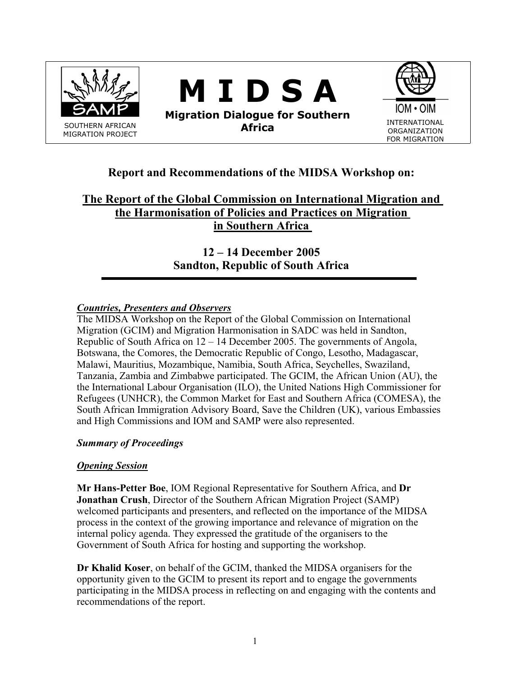

# **Report and Recommendations of the MIDSA Workshop on:**

# **The Report of the Global Commission on International Migration and the Harmonisation of Policies and Practices on Migration in Southern Africa**

**12 – 14 December 2005 Sandton, Republic of South Africa** 

## *Countries, Presenters and Observers*

The MIDSA Workshop on the Report of the Global Commission on International Migration (GCIM) and Migration Harmonisation in SADC was held in Sandton, Republic of South Africa on 12 – 14 December 2005. The governments of Angola, Botswana, the Comores, the Democratic Republic of Congo, Lesotho, Madagascar, Malawi, Mauritius, Mozambique, Namibia, South Africa, Seychelles, Swaziland, Tanzania, Zambia and Zimbabwe participated. The GCIM, the African Union (AU), the the International Labour Organisation (ILO), the United Nations High Commissioner for Refugees (UNHCR), the Common Market for East and Southern Africa (COMESA), the South African Immigration Advisory Board, Save the Children (UK), various Embassies and High Commissions and IOM and SAMP were also represented.

## *Summary of Proceedings*

## *Opening Session*

**Mr Hans-Petter Boe**, IOM Regional Representative for Southern Africa, and **Dr Jonathan Crush**, Director of the Southern African Migration Project (SAMP) welcomed participants and presenters, and reflected on the importance of the MIDSA process in the context of the growing importance and relevance of migration on the internal policy agenda. They expressed the gratitude of the organisers to the Government of South Africa for hosting and supporting the workshop.

**Dr Khalid Koser**, on behalf of the GCIM, thanked the MIDSA organisers for the opportunity given to the GCIM to present its report and to engage the governments participating in the MIDSA process in reflecting on and engaging with the contents and recommendations of the report.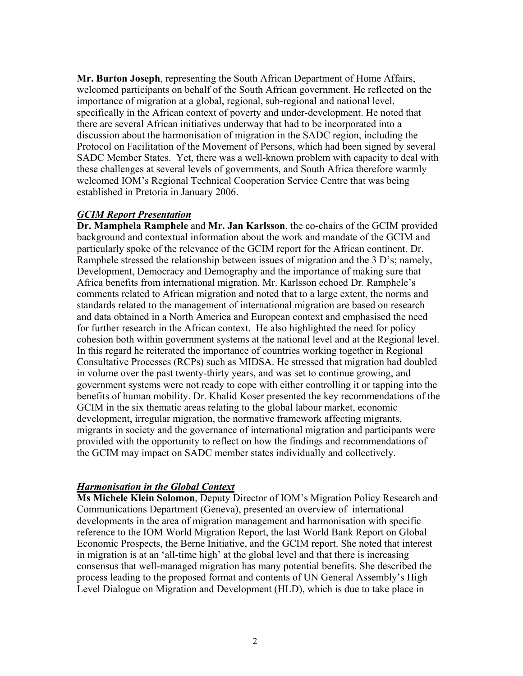**Mr. Burton Joseph**, representing the South African Department of Home Affairs, welcomed participants on behalf of the South African government. He reflected on the importance of migration at a global, regional, sub-regional and national level, specifically in the African context of poverty and under-development. He noted that there are several African initiatives underway that had to be incorporated into a discussion about the harmonisation of migration in the SADC region, including the Protocol on Facilitation of the Movement of Persons, which had been signed by several SADC Member States. Yet, there was a well-known problem with capacity to deal with these challenges at several levels of governments, and South Africa therefore warmly welcomed IOM's Regional Technical Cooperation Service Centre that was being established in Pretoria in January 2006.

### *GCIM Report Presentation*

**Dr. Mamphela Ramphele** and **Mr. Jan Karlsson**, the co-chairs of the GCIM provided background and contextual information about the work and mandate of the GCIM and particularly spoke of the relevance of the GCIM report for the African continent. Dr. Ramphele stressed the relationship between issues of migration and the 3 D's; namely, Development, Democracy and Demography and the importance of making sure that Africa benefits from international migration. Mr. Karlsson echoed Dr. Ramphele's comments related to African migration and noted that to a large extent, the norms and standards related to the management of international migration are based on research and data obtained in a North America and European context and emphasised the need for further research in the African context. He also highlighted the need for policy cohesion both within government systems at the national level and at the Regional level. In this regard he reiterated the importance of countries working together in Regional Consultative Processes (RCPs) such as MIDSA. He stressed that migration had doubled in volume over the past twenty-thirty years, and was set to continue growing, and government systems were not ready to cope with either controlling it or tapping into the benefits of human mobility. Dr. Khalid Koser presented the key recommendations of the GCIM in the six thematic areas relating to the global labour market, economic development, irregular migration, the normative framework affecting migrants, migrants in society and the governance of international migration and participants were provided with the opportunity to reflect on how the findings and recommendations of the GCIM may impact on SADC member states individually and collectively.

### *Harmonisation in the Global Context*

**Ms Michele Klein Solomon**, Deputy Director of IOM's Migration Policy Research and Communications Department (Geneva), presented an overview of international developments in the area of migration management and harmonisation with specific reference to the IOM World Migration Report, the last World Bank Report on Global Economic Prospects, the Berne Initiative, and the GCIM report. She noted that interest in migration is at an 'all-time high' at the global level and that there is increasing consensus that well-managed migration has many potential benefits. She described the process leading to the proposed format and contents of UN General Assembly's High Level Dialogue on Migration and Development (HLD), which is due to take place in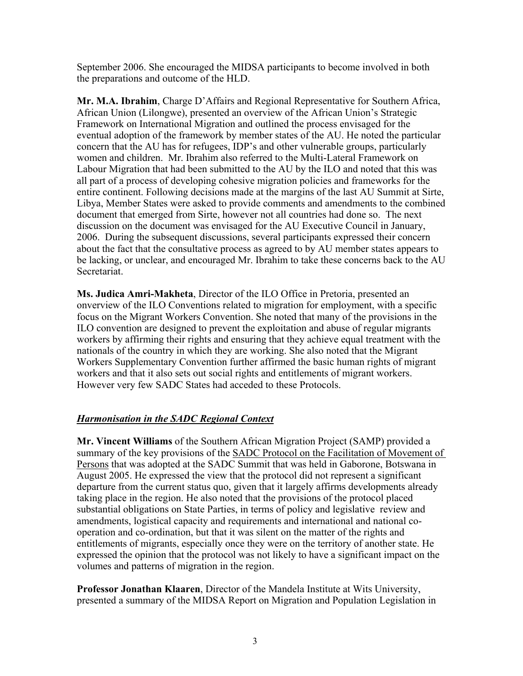September 2006. She encouraged the MIDSA participants to become involved in both the preparations and outcome of the HLD.

**Mr. M.A. Ibrahim**, Charge D'Affairs and Regional Representative for Southern Africa, African Union (Lilongwe), presented an overview of the African Union's Strategic Framework on International Migration and outlined the process envisaged for the eventual adoption of the framework by member states of the AU. He noted the particular concern that the AU has for refugees, IDP's and other vulnerable groups, particularly women and children. Mr. Ibrahim also referred to the Multi-Lateral Framework on Labour Migration that had been submitted to the AU by the ILO and noted that this was all part of a process of developing cohesive migration policies and frameworks for the entire continent. Following decisions made at the margins of the last AU Summit at Sirte, Libya, Member States were asked to provide comments and amendments to the combined document that emerged from Sirte, however not all countries had done so. The next discussion on the document was envisaged for the AU Executive Council in January, 2006. During the subsequent discussions, several participants expressed their concern about the fact that the consultative process as agreed to by AU member states appears to be lacking, or unclear, and encouraged Mr. Ibrahim to take these concerns back to the AU Secretariat.

**Ms. Judica Amri-Makheta**, Director of the ILO Office in Pretoria, presented an onverview of the ILO Conventions related to migration for employment, with a specific focus on the Migrant Workers Convention. She noted that many of the provisions in the ILO convention are designed to prevent the exploitation and abuse of regular migrants workers by affirming their rights and ensuring that they achieve equal treatment with the nationals of the country in which they are working. She also noted that the Migrant Workers Supplementary Convention further affirmed the basic human rights of migrant workers and that it also sets out social rights and entitlements of migrant workers. However very few SADC States had acceded to these Protocols.

# *Harmonisation in the SADC Regional Context*

**Mr. Vincent Williams** of the Southern African Migration Project (SAMP) provided a summary of the key provisions of the SADC Protocol on the Facilitation of Movement of Persons that was adopted at the SADC Summit that was held in Gaborone, Botswana in August 2005. He expressed the view that the protocol did not represent a significant departure from the current status quo, given that it largely affirms developments already taking place in the region. He also noted that the provisions of the protocol placed substantial obligations on State Parties, in terms of policy and legislative review and amendments, logistical capacity and requirements and international and national cooperation and co-ordination, but that it was silent on the matter of the rights and entitlements of migrants, especially once they were on the territory of another state. He expressed the opinion that the protocol was not likely to have a significant impact on the volumes and patterns of migration in the region.

**Professor Jonathan Klaaren**, Director of the Mandela Institute at Wits University, presented a summary of the MIDSA Report on Migration and Population Legislation in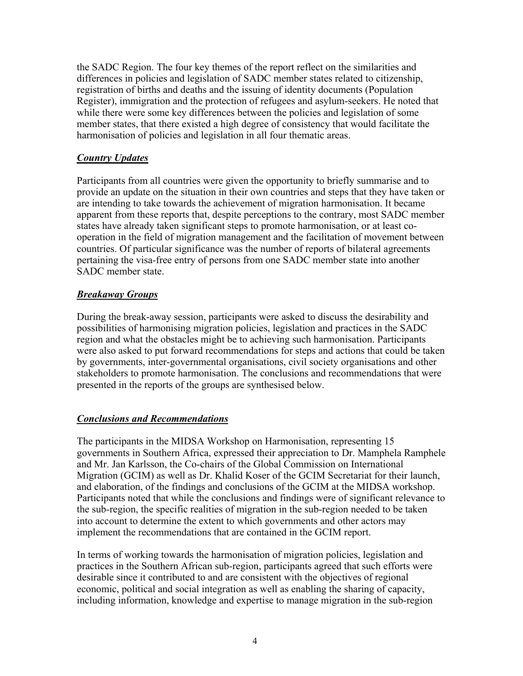the SADC Region. The four key themes of the report reflect on the similarities and differences in policies and legislation of SADC member states related to citizenship, registration of births and deaths and the issuing of identity documents (Population Register), immigration and the protection of refugees and asylum-seekers. He noted that while there were some key differences between the policies and legislation of some member states, that there existed a high degree of consistency that would facilitate the harmonisation of policies and legislation in all four thematic areas.

## *Country Updates*

Participants from all countries were given the opportunity to briefly summarise and to provide an update on the situation in their own countries and steps that they have taken or are intending to take towards the achievement of migration harmonisation. It became apparent from these reports that, despite perceptions to the contrary, most SADC member states have already taken significant steps to promote harmonisation, or at least cooperation in the field of migration management and the facilitation of movement between countries. Of particular significance was the number of reports of bilateral agreements pertaining the visa-free entry of persons from one SADC member state into another SADC member state.

## *Breakaway Groups*

During the break-away session, participants were asked to discuss the desirability and possibilities of harmonising migration policies, legislation and practices in the SADC region and what the obstacles might be to achieving such harmonisation. Participants were also asked to put forward recommendations for steps and actions that could be taken by governments, inter-governmental organisations, civil society organisations and other stakeholders to promote harmonisation. The conclusions and recommendations that were presented in the reports of the groups are synthesised below.

## *Conclusions and Recommendations*

The participants in the MIDSA Workshop on Harmonisation, representing 15 governments in Southern Africa, expressed their appreciation to Dr. Mamphela Ramphele and Mr. Jan Karlsson, the Co-chairs of the Global Commission on International Migration (GCIM) as well as Dr. Khalid Koser of the GCIM Secretariat for their launch, and elaboration, of the findings and conclusions of the GCIM at the MIDSA workshop. Participants noted that while the conclusions and findings were of significant relevance to the sub-region, the specific realities of migration in the sub-region needed to be taken into account to determine the extent to which governments and other actors may implement the recommendations that are contained in the GCIM report.

In terms of working towards the harmonisation of migration policies, legislation and practices in the Southern African sub-region, participants agreed that such efforts were desirable since it contributed to and are consistent with the objectives of regional economic, political and social integration as well as enabling the sharing of capacity, including information, knowledge and expertise to manage migration in the sub-region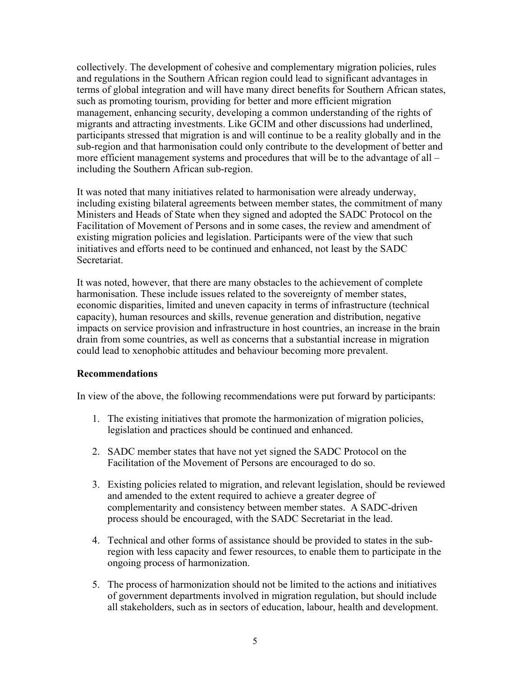collectively. The development of cohesive and complementary migration policies, rules and regulations in the Southern African region could lead to significant advantages in terms of global integration and will have many direct benefits for Southern African states, such as promoting tourism, providing for better and more efficient migration management, enhancing security, developing a common understanding of the rights of migrants and attracting investments. Like GCIM and other discussions had underlined, participants stressed that migration is and will continue to be a reality globally and in the sub-region and that harmonisation could only contribute to the development of better and more efficient management systems and procedures that will be to the advantage of all – including the Southern African sub-region.

It was noted that many initiatives related to harmonisation were already underway, including existing bilateral agreements between member states, the commitment of many Ministers and Heads of State when they signed and adopted the SADC Protocol on the Facilitation of Movement of Persons and in some cases, the review and amendment of existing migration policies and legislation. Participants were of the view that such initiatives and efforts need to be continued and enhanced, not least by the SADC Secretariat.

It was noted, however, that there are many obstacles to the achievement of complete harmonisation. These include issues related to the sovereignty of member states, economic disparities, limited and uneven capacity in terms of infrastructure (technical capacity), human resources and skills, revenue generation and distribution, negative impacts on service provision and infrastructure in host countries, an increase in the brain drain from some countries, as well as concerns that a substantial increase in migration could lead to xenophobic attitudes and behaviour becoming more prevalent.

### **Recommendations**

In view of the above, the following recommendations were put forward by participants:

- 1. The existing initiatives that promote the harmonization of migration policies, legislation and practices should be continued and enhanced.
- 2. SADC member states that have not yet signed the SADC Protocol on the Facilitation of the Movement of Persons are encouraged to do so.
- 3. Existing policies related to migration, and relevant legislation, should be reviewed and amended to the extent required to achieve a greater degree of complementarity and consistency between member states. A SADC-driven process should be encouraged, with the SADC Secretariat in the lead.
- 4. Technical and other forms of assistance should be provided to states in the subregion with less capacity and fewer resources, to enable them to participate in the ongoing process of harmonization.
- 5. The process of harmonization should not be limited to the actions and initiatives of government departments involved in migration regulation, but should include all stakeholders, such as in sectors of education, labour, health and development.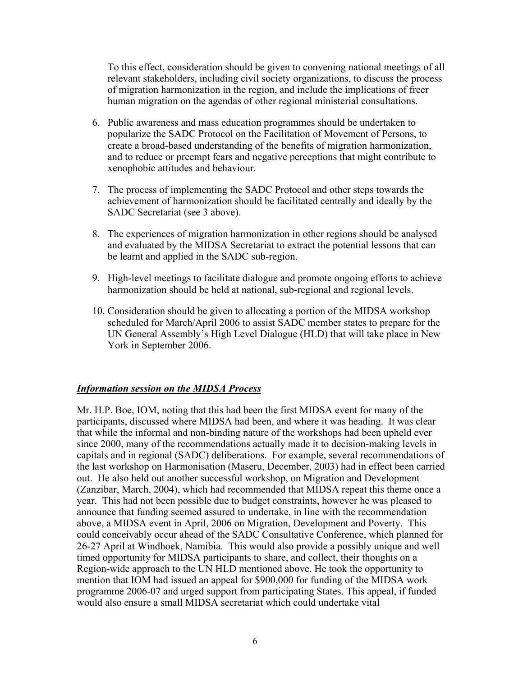To this effect, consideration should be given to convening national meetings of all relevant stakeholders, including civil society organizations, to discuss the process of migration harmonization in the region, and include the implications of freer human migration on the agendas of other regional ministerial consultations.

- 6. Public awareness and mass education programmes should be undertaken to popularize the SADC Protocol on the Facilitation of Movement of Persons, to create a broad-based understanding of the benefits of migration harmonization, and to reduce or preempt fears and negative perceptions that might contribute to xenophobic attitudes and behaviour.
- 7. The process of implementing the SADC Protocol and other steps towards the achievement of harmonization should be facilitated centrally and ideally by the SADC Secretariat (see 3 above).
- 8. The experiences of migration harmonization in other regions should be analysed and evaluated by the MIDSA Secretariat to extract the potential lessons that can be learnt and applied in the SADC sub-region.
- 9. High-level meetings to facilitate dialogue and promote ongoing efforts to achieve harmonization should be held at national, sub-regional and regional levels.
- 10. Consideration should be given to allocating a portion of the MIDSA workshop scheduled for March/April 2006 to assist SADC member states to prepare for the UN General Assembly's High Level Dialogue (HLD) that will take place in New York in September 2006.

### *Information session on the MIDSA Process*

Mr. H.P. Boe, IOM, noting that this had been the first MIDSA event for many of the participants, discussed where MIDSA had been, and where it was heading. It was clear that while the informal and non-binding nature of the workshops had been upheld ever since 2000, many of the recommendations actually made it to decision-making levels in capitals and in regional (SADC) deliberations. For example, several recommendations of the last workshop on Harmonisation (Maseru, December, 2003) had in effect been carried out. He also held out another successful workshop, on Migration and Development (Zanzibar, March, 2004), which had recommended that MIDSA repeat this theme once a year. This had not been possible due to budget constraints, however he was pleased to announce that funding seemed assured to undertake, in line with the recommendation above, a MIDSA event in April, 2006 on Migration, Development and Poverty. This could conceivably occur ahead of the SADC Consultative Conference, which planned for 26-27 April at Windhoek, Namibia. This would also provide a possibly unique and well timed opportunity for MIDSA participants to share, and collect, their thoughts on a Region-wide approach to the UN HLD mentioned above. He took the opportunity to mention that IOM had issued an appeal for \$900,000 for funding of the MIDSA work programme 2006-07 and urged support from participating States. This appeal, if funded would also ensure a small MIDSA secretariat which could undertake vital